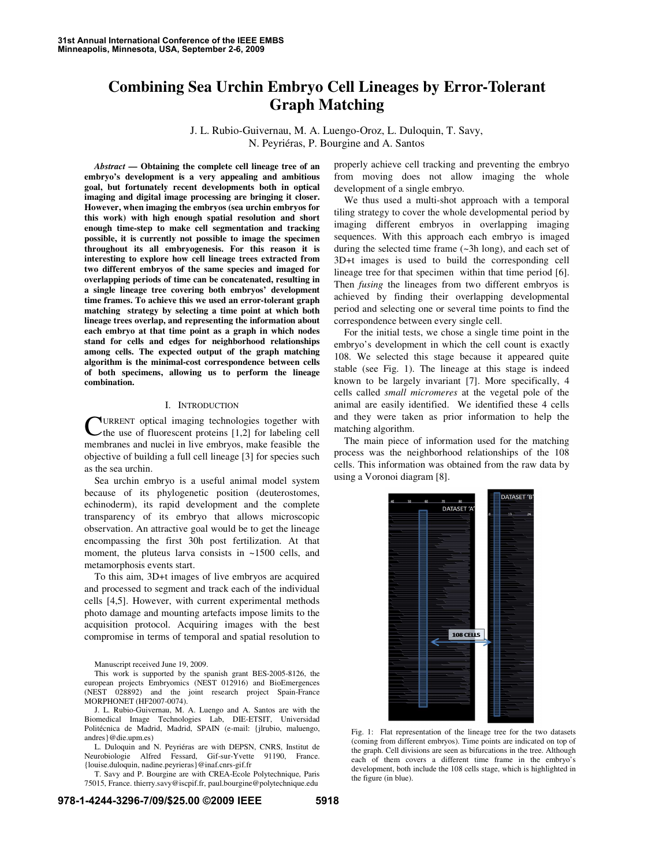# **Combining Sea Urchin Embryo Cell Lineages by Error-Tolerant Graph Matching**

J. L. Rubio-Guivernau, M. A. Luengo-Oroz, L. Duloquin, T. Savy, N. Peyriéras, P. Bourgine and A. Santos

*Abstract* **— Obtaining the complete cell lineage tree of an embryo's development is a very appealing and ambitious goal, but fortunately recent developments both in optical imaging and digital image processing are bringing it closer. However, when imaging the embryos (sea urchin embryos for this work) with high enough spatial resolution and short enough time-step to make cell segmentation and tracking possible, it is currently not possible to image the specimen throughout its all embryogenesis. For this reason it is interesting to explore how cell lineage trees extracted from two different embryos of the same species and imaged for overlapping periods of time can be concatenated, resulting in a single lineage tree covering both embryos' development time frames. To achieve this we used an error-tolerant graph matching strategy by selecting a time point at which both lineage trees overlap, and representing the information about each embryo at that time point as a graph in which nodes stand for cells and edges for neighborhood relationships among cells. The expected output of the graph matching algorithm is the minimal-cost correspondence between cells of both specimens, allowing us to perform the lineage combination.** 

## I. INTRODUCTION

URRENT optical imaging technologies together with **CURRENT** optical imaging technologies together with the use of fluorescent proteins [1,2] for labeling cell membranes and nuclei in live embryos, make feasible the objective of building a full cell lineage [3] for species such as the sea urchin.

Sea urchin embryo is a useful animal model system because of its phylogenetic position (deuterostomes, echinoderm), its rapid development and the complete transparency of its embryo that allows microscopic observation. An attractive goal would be to get the lineage encompassing the first 30h post fertilization. At that moment, the pluteus larva consists in ~1500 cells, and metamorphosis events start.

To this aim, 3D+t images of live embryos are acquired and processed to segment and track each of the individual cells [4,5]. However, with current experimental methods photo damage and mounting artefacts impose limits to the acquisition protocol. Acquiring images with the best compromise in terms of temporal and spatial resolution to

Manuscript received June 19, 2009.

This work is supported by the spanish grant BES-2005-8126, the european projects Embryomics (NEST 012916) and BioEmergences (NEST 028892) and the joint research project Spain-France MORPHONET (HF2007-0074).

J. L. Rubio-Guivernau, M. A. Luengo and A. Santos are with the Biomedical Image Technologies Lab, DIE-ETSIT, Universidad Politécnica de Madrid, Madrid, SPAIN (e-mail: {jlrubio, maluengo, andres}@die.upm.es)

L. Duloquin and N. Peyriéras are with DEPSN, CNRS, Institut de Neurobiologie Alfred Fessard, Gif-sur-Yvette 91190, France. {louise.duloquin, nadine.peyrieras}@inaf.cnrs-gif.fr

T. Savy and P. Bourgine are with CREA-Ecole Polytechnique, Paris 75015, France. thierry.savy@iscpif.fr, paul.bourgine@polytechnique.edu

properly achieve cell tracking and preventing the embryo from moving does not allow imaging the whole development of a single embryo.

We thus used a multi-shot approach with a temporal tiling strategy to cover the whole developmental period by imaging different embryos in overlapping imaging sequences. With this approach each embryo is imaged during the selected time frame (~3h long), and each set of 3D+t images is used to build the corresponding cell lineage tree for that specimen within that time period [6]. Then *fusing* the lineages from two different embryos is achieved by finding their overlapping developmental period and selecting one or several time points to find the correspondence between every single cell.

For the initial tests, we chose a single time point in the embryo's development in which the cell count is exactly 108. We selected this stage because it appeared quite stable (see Fig. 1). The lineage at this stage is indeed known to be largely invariant [7]. More specifically, 4 cells called *small micromeres* at the vegetal pole of the animal are easily identified. We identified these 4 cells and they were taken as prior information to help the matching algorithm.

The main piece of information used for the matching process was the neighborhood relationships of the 108 cells. This information was obtained from the raw data by using a Voronoi diagram [8].



Fig. 1: Flat representation of the lineage tree for the two datasets (coming from different embryos). Time points are indicated on top of the graph. Cell divisions are seen as bifurcations in the tree. Although each of them covers a different time frame in the embryo's development, both include the 108 cells stage, which is highlighted in the figure (in blue).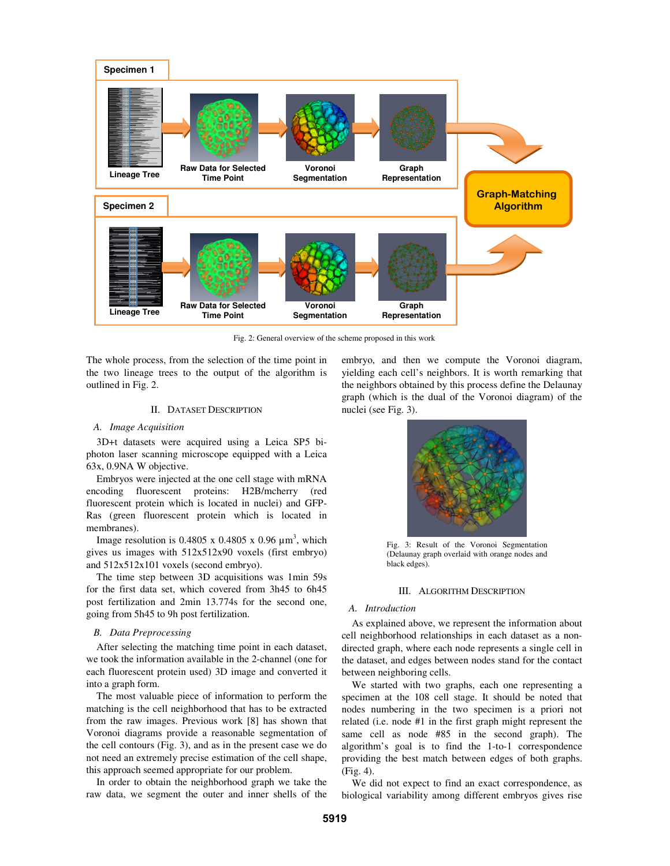

Fig. 2: General overview of the scheme proposed in this work

The whole process, from the selection of the time point in the two lineage trees to the output of the algorithm is outlined in Fig. 2.

# II. DATASET DESCRIPTION

## *A. Image Acquisition*

3D+t datasets were acquired using a Leica SP5 biphoton laser scanning microscope equipped with a Leica 63x, 0.9NA W objective.

Embryos were injected at the one cell stage with mRNA encoding fluorescent proteins: H2B/mcherry (red fluorescent protein which is located in nuclei) and GFP-Ras (green fluorescent protein which is located in membranes).

Image resolution is 0.4805 x 0.4805 x 0.96  $\mu$ m<sup>3</sup>, which gives us images with 512x512x90 voxels (first embryo) and 512x512x101 voxels (second embryo).

The time step between 3D acquisitions was 1min 59s for the first data set, which covered from 3h45 to 6h45 post fertilization and 2min 13.774s for the second one, going from 5h45 to 9h post fertilization.

# *B. Data Preprocessing*

After selecting the matching time point in each dataset, we took the information available in the 2-channel (one for each fluorescent protein used) 3D image and converted it into a graph form.

The most valuable piece of information to perform the matching is the cell neighborhood that has to be extracted from the raw images. Previous work [8] has shown that Voronoi diagrams provide a reasonable segmentation of the cell contours (Fig. 3), and as in the present case we do not need an extremely precise estimation of the cell shape, this approach seemed appropriate for our problem.

In order to obtain the neighborhood graph we take the raw data, we segment the outer and inner shells of the embryo, and then we compute the Voronoi diagram, yielding each cell's neighbors. It is worth remarking that the neighbors obtained by this process define the Delaunay graph (which is the dual of the Voronoi diagram) of the nuclei (see Fig. 3).



Fig. 3: Result of the Voronoi Segmentation (Delaunay graph overlaid with orange nodes and black edges).

#### III. ALGORITHM DESCRIPTION

## *A. Introduction*

As explained above, we represent the information about cell neighborhood relationships in each dataset as a nondirected graph, where each node represents a single cell in the dataset, and edges between nodes stand for the contact between neighboring cells.

We started with two graphs, each one representing a specimen at the 108 cell stage. It should be noted that nodes numbering in the two specimen is a priori not related (i.e. node #1 in the first graph might represent the same cell as node #85 in the second graph). The algorithm's goal is to find the 1-to-1 correspondence providing the best match between edges of both graphs. (Fig. 4).

We did not expect to find an exact correspondence, as biological variability among different embryos gives rise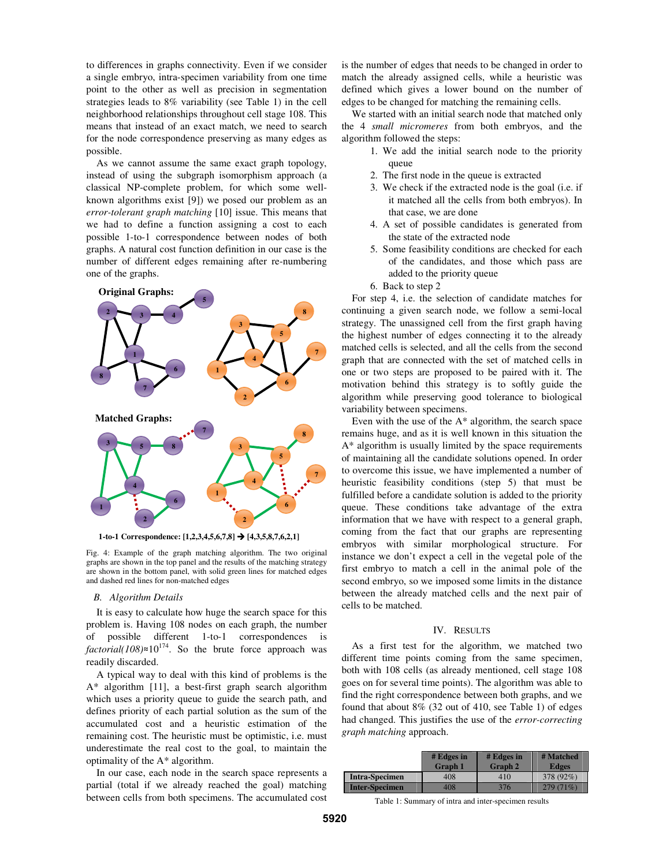to differences in graphs connectivity. Even if we consider a single embryo, intra-specimen variability from one time point to the other as well as precision in segmentation strategies leads to 8% variability (see Table 1) in the cell neighborhood relationships throughout cell stage 108. This means that instead of an exact match, we need to search for the node correspondence preserving as many edges as possible.

As we cannot assume the same exact graph topology, instead of using the subgraph isomorphism approach (a classical NP-complete problem, for which some wellknown algorithms exist [9]) we posed our problem as an *error-tolerant graph matching* [10] issue. This means that we had to define a function assigning a cost to each possible 1-to-1 correspondence between nodes of both graphs. A natural cost function definition in our case is the number of different edges remaining after re-numbering one of the graphs.



**1-to-1 Correspondence: [1,2,3,4,5,6,7,8] [4,3,5,8,7,6,2,1]**

Fig. 4: Example of the graph matching algorithm. The two original graphs are shown in the top panel and the results of the matching strategy are shown in the bottom panel, with solid green lines for matched edges and dashed red lines for non-matched edges

## *B. Algorithm Details*

It is easy to calculate how huge the search space for this problem is. Having 108 nodes on each graph, the number of possible different 1-to-1 correspondences is  $factorial(108) \approx 10^{174}$ . So the brute force approach was readily discarded.

A typical way to deal with this kind of problems is the A\* algorithm [11], a best-first graph search algorithm which uses a priority queue to guide the search path, and defines priority of each partial solution as the sum of the accumulated cost and a heuristic estimation of the remaining cost. The heuristic must be optimistic, i.e. must underestimate the real cost to the goal, to maintain the optimality of the A\* algorithm.

In our case, each node in the search space represents a partial (total if we already reached the goal) matching between cells from both specimens. The accumulated cost is the number of edges that needs to be changed in order to match the already assigned cells, while a heuristic was defined which gives a lower bound on the number of edges to be changed for matching the remaining cells.

We started with an initial search node that matched only the 4 *small micromeres* from both embryos, and the algorithm followed the steps:

- 1. We add the initial search node to the priority queue
- 2. The first node in the queue is extracted
- 3. We check if the extracted node is the goal (i.e. if it matched all the cells from both embryos). In that case, we are done
- 4. A set of possible candidates is generated from the state of the extracted node
- 5. Some feasibility conditions are checked for each of the candidates, and those which pass are added to the priority queue
- 6. Back to step 2

For step 4, i.e. the selection of candidate matches for continuing a given search node, we follow a semi-local strategy. The unassigned cell from the first graph having the highest number of edges connecting it to the already matched cells is selected, and all the cells from the second graph that are connected with the set of matched cells in one or two steps are proposed to be paired with it. The motivation behind this strategy is to softly guide the algorithm while preserving good tolerance to biological variability between specimens.

Even with the use of the A\* algorithm, the search space remains huge, and as it is well known in this situation the A\* algorithm is usually limited by the space requirements of maintaining all the candidate solutions opened. In order to overcome this issue, we have implemented a number of heuristic feasibility conditions (step 5) that must be fulfilled before a candidate solution is added to the priority queue. These conditions take advantage of the extra information that we have with respect to a general graph, coming from the fact that our graphs are representing embryos with similar morphological structure. For instance we don't expect a cell in the vegetal pole of the first embryo to match a cell in the animal pole of the second embryo, so we imposed some limits in the distance between the already matched cells and the next pair of cells to be matched.

# IV. RESULTS

As a first test for the algorithm, we matched two different time points coming from the same specimen, both with 108 cells (as already mentioned, cell stage 108 goes on for several time points). The algorithm was able to find the right correspondence between both graphs, and we found that about 8% (32 out of 410, see Table 1) of edges had changed. This justifies the use of the *error-correcting graph matching* approach.

|                       | # Edges in<br><b>Graph 1</b> | $# Edges$ in<br><b>Graph 2</b> | # Matched<br><b>Edges</b> |
|-----------------------|------------------------------|--------------------------------|---------------------------|
| <b>Intra-Specimen</b> | 408                          | 410                            | 378 (92%)                 |
| <b>Inter-Specimen</b> | 408                          | 376                            | 279(71%)                  |

Table 1: Summary of intra and inter-specimen results